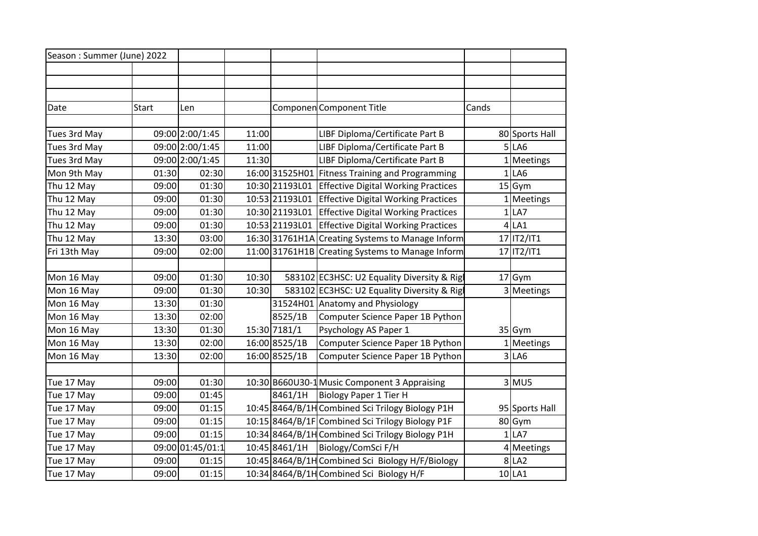| Season: Summer (June) 2022 |              |                  |       |                |                                                    |       |                |
|----------------------------|--------------|------------------|-------|----------------|----------------------------------------------------|-------|----------------|
|                            |              |                  |       |                |                                                    |       |                |
|                            |              |                  |       |                |                                                    |       |                |
| Date                       | <b>Start</b> | Len              |       |                | Componen Component Title                           | Cands |                |
|                            |              |                  |       |                |                                                    |       |                |
| Tues 3rd May               |              | 09:00 2:00/1:45  | 11:00 |                | LIBF Diploma/Certificate Part B                    |       | 80 Sports Hall |
| Tues 3rd May               |              | 09:00 2:00/1:45  | 11:00 |                | LIBF Diploma/Certificate Part B                    |       | 5 LA6          |
| Tues 3rd May               |              | 09:00 2:00/1:45  | 11:30 |                | LIBF Diploma/Certificate Part B                    |       | 1 Meetings     |
| Mon 9th May                | 01:30        | 02:30            |       |                | 16:00 31525 H01 Fitness Training and Programming   |       | 1 LA6          |
| Thu 12 May                 | 09:00        | 01:30            |       | 10:30 21193L01 | <b>Effective Digital Working Practices</b>         |       | $15$ Gym       |
| Thu 12 May                 | 09:00        | 01:30            |       |                | 10:53 21193L01 Effective Digital Working Practices |       | 1 Meetings     |
| Thu 12 May                 | 09:00        | 01:30            |       |                | 10:30 21193L01 Effective Digital Working Practices |       | $1$ LA7        |
| Thu 12 May                 | 09:00        | 01:30            |       |                | 10:53 21193L01 Effective Digital Working Practices |       | $4$ LA1        |
| Thu 12 May                 | 13:30        | 03:00            |       |                | 16:30 31761H1A Creating Systems to Manage Inform   |       | 17 IT2/IT1     |
| Fri 13th May               | 09:00        | 02:00            |       |                | 11:00 31761H1B Creating Systems to Manage Inform   |       | 17 IT2/IT1     |
|                            |              |                  |       |                |                                                    |       |                |
| Mon 16 May                 | 09:00        | 01:30            | 10:30 |                | 583102 EC3HSC: U2 Equality Diversity & Rigl        |       | $17$ Gym       |
| Mon 16 May                 | 09:00        | 01:30            | 10:30 |                | 583102 EC3HSC: U2 Equality Diversity & Rigl        |       | 3 Meetings     |
| Mon 16 May                 | 13:30        | 01:30            |       |                | 31524H01 Anatomy and Physiology                    |       |                |
| Mon 16 May                 | 13:30        | 02:00            |       | 8525/1B        | Computer Science Paper 1B Python                   |       |                |
| Mon 16 May                 | 13:30        | 01:30            |       | 15:30 7181/1   | Psychology AS Paper 1                              |       | $35$ Gym       |
| Mon 16 May                 | 13:30        | 02:00            |       | 16:00 8525/1B  | Computer Science Paper 1B Python                   |       | 1 Meetings     |
| Mon 16 May                 | 13:30        | 02:00            |       | 16:00 8525/1B  | Computer Science Paper 1B Python                   |       | 3 LA6          |
|                            |              |                  |       |                |                                                    |       |                |
| Tue 17 May                 | 09:00        | 01:30            |       |                | 10:30 B660U30-1 Music Component 3 Appraising       |       | $3$ MU5        |
| Tue 17 May                 | 09:00        | 01:45            |       | 8461/1H        | Biology Paper 1 Tier H                             |       |                |
| Tue 17 May                 | 09:00        | 01:15            |       |                | 10:45 8464/B/1H Combined Sci Trilogy Biology P1H   |       | 95 Sports Hall |
| Tue 17 May                 | 09:00        | 01:15            |       |                | 10:15 8464/B/1F Combined Sci Trilogy Biology P1F   |       | 80 Gym         |
| Tue 17 May                 | 09:00        | 01:15            |       |                | 10:34 8464/B/1H Combined Sci Trilogy Biology P1H   |       | 1 LA7          |
| Tue 17 May                 |              | 09:00 01:45/01:1 |       | 10:45 8461/1H  | Biology/ComSci F/H                                 |       | 4 Meetings     |
| Tue 17 May                 | 09:00        | 01:15            |       |                | 10:45 8464/B/1H Combined Sci Biology H/F/Biology   |       | 8 LA2          |
| Tue 17 May                 | 09:00        | 01:15            |       |                | 10:34 8464/B/1H Combined Sci Biology H/F           |       | $10$ LA1       |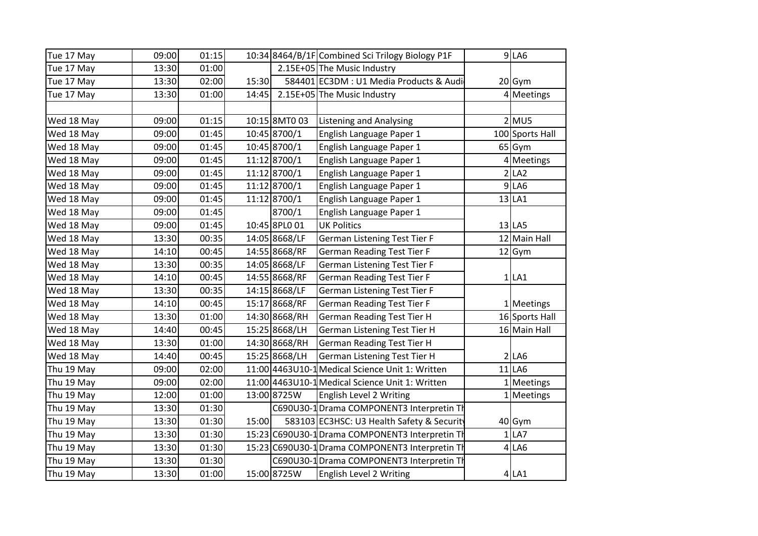| Tue 17 May | 09:00 | 01:15 |       |               | 10:34 8464/B/1F Combined Sci Trilogy Biology P1F | $9$ LA6         |
|------------|-------|-------|-------|---------------|--------------------------------------------------|-----------------|
| Tue 17 May | 13:30 | 01:00 |       |               | 2.15E+05 The Music Industry                      |                 |
| Tue 17 May | 13:30 | 02:00 | 15:30 |               | 584401 EC3DM : U1 Media Products & Audi          | $20$ Gym        |
| Tue 17 May | 13:30 | 01:00 | 14:45 |               | 2.15E+05 The Music Industry                      | 4 Meetings      |
|            |       |       |       |               |                                                  |                 |
| Wed 18 May | 09:00 | 01:15 |       | 10:15 8MT0 03 | <b>Listening and Analysing</b>                   | $2$ MU5         |
| Wed 18 May | 09:00 | 01:45 |       | 10:45 8700/1  | English Language Paper 1                         | 100 Sports Hall |
| Wed 18 May | 09:00 | 01:45 |       | 10:45 8700/1  | English Language Paper 1                         | 65 Gym          |
| Wed 18 May | 09:00 | 01:45 |       | 11:12 8700/1  | English Language Paper 1                         | 4 Meetings      |
| Wed 18 May | 09:00 | 01:45 |       | 11:12 8700/1  | English Language Paper 1                         | 2 LA2           |
| Wed 18 May | 09:00 | 01:45 |       | 11:12 8700/1  | English Language Paper 1                         | 9 LA6           |
| Wed 18 May | 09:00 | 01:45 |       | 11:12 8700/1  | English Language Paper 1                         | 13 LA1          |
| Wed 18 May | 09:00 | 01:45 |       | 8700/1        | English Language Paper 1                         |                 |
| Wed 18 May | 09:00 | 01:45 |       | 10:45 8PL0 01 | <b>UK Politics</b>                               | 13 LA5          |
| Wed 18 May | 13:30 | 00:35 |       | 14:05 8668/LF | German Listening Test Tier F                     | 12 Main Hall    |
| Wed 18 May | 14:10 | 00:45 |       | 14:55 8668/RF | <b>German Reading Test Tier F</b>                | $12$ Gym        |
| Wed 18 May | 13:30 | 00:35 |       | 14:05 8668/LF | German Listening Test Tier F                     |                 |
| Wed 18 May | 14:10 | 00:45 |       | 14:55 8668/RF | <b>German Reading Test Tier F</b>                | $1$ LA1         |
| Wed 18 May | 13:30 | 00:35 |       | 14:15 8668/LF | German Listening Test Tier F                     |                 |
| Wed 18 May | 14:10 | 00:45 |       | 15:17 8668/RF | <b>German Reading Test Tier F</b>                | 1 Meetings      |
| Wed 18 May | 13:30 | 01:00 |       | 14:30 8668/RH | <b>German Reading Test Tier H</b>                | 16 Sports Hall  |
| Wed 18 May | 14:40 | 00:45 |       | 15:25 8668/LH | German Listening Test Tier H                     | 16 Main Hall    |
| Wed 18 May | 13:30 | 01:00 |       | 14:30 8668/RH | <b>German Reading Test Tier H</b>                |                 |
| Wed 18 May | 14:40 | 00:45 |       | 15:25 8668/LH | German Listening Test Tier H                     | 2 LA6           |
| Thu 19 May | 09:00 | 02:00 |       |               | 11:00 4463 U10-1 Medical Science Unit 1: Written | $11$ LA6        |
| Thu 19 May | 09:00 | 02:00 |       |               | 11:00 4463 U10-1 Medical Science Unit 1: Written | 1 Meetings      |
| Thu 19 May | 12:00 | 01:00 |       | 13:00 8725W   | English Level 2 Writing                          | 1 Meetings      |
| Thu 19 May | 13:30 | 01:30 |       |               | C690U30-1 Drama COMPONENT3 Interpretin Th        |                 |
| Thu 19 May | 13:30 | 01:30 | 15:00 |               | 583103 EC3HSC: U3 Health Safety & Security       | 40 Gym          |
| Thu 19 May | 13:30 | 01:30 |       |               | 15:23 C690U30-1 Drama COMPONENT3 Interpretin Th  | 1 LA7           |
| Thu 19 May | 13:30 | 01:30 |       |               | 15:23 C690U30-1 Drama COMPONENT3 Interpretin Th  | $4$ LA6         |
| Thu 19 May | 13:30 | 01:30 |       |               | C690U30-1 Drama COMPONENT3 Interpretin Th        |                 |
| Thu 19 May | 13:30 | 01:00 |       | 15:00 8725W   | English Level 2 Writing                          | 4 LA1           |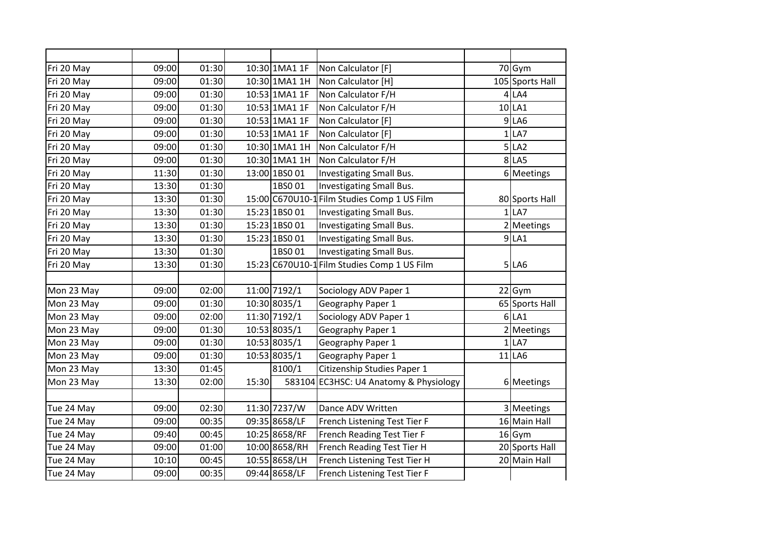| Fri 20 May | 09:00 | 01:30 |       | 10:30 1MA1 1F | Non Calculator [F]                          | 70 Gym          |
|------------|-------|-------|-------|---------------|---------------------------------------------|-----------------|
| Fri 20 May | 09:00 | 01:30 |       | 10:30 1MA1 1H | Non Calculator [H]                          | 105 Sports Hall |
| Fri 20 May | 09:00 | 01:30 |       | 10:53 1MA1 1F | Non Calculator F/H                          | 4 LA4           |
| Fri 20 May | 09:00 | 01:30 |       | 10:53 1MA1 1F | Non Calculator F/H                          | 10 LA1          |
| Fri 20 May | 09:00 | 01:30 |       | 10:53 1MA1 1F | Non Calculator [F]                          | 9 LA6           |
| Fri 20 May | 09:00 | 01:30 |       | 10:53 1MA1 1F | Non Calculator [F]                          | 1 LA7           |
| Fri 20 May | 09:00 | 01:30 |       | 10:30 1MA1 1H | Non Calculator F/H                          | 5 LA2           |
| Fri 20 May | 09:00 | 01:30 |       | 10:30 1MA1 1H | Non Calculator F/H                          | 8 LA5           |
| Fri 20 May | 11:30 | 01:30 |       | 13:00 1BS0 01 | Investigating Small Bus.                    | 6 Meetings      |
| Fri 20 May | 13:30 | 01:30 |       | 1BS001        | Investigating Small Bus.                    |                 |
| Fri 20 May | 13:30 | 01:30 |       |               | 15:00 C670U10-1 Film Studies Comp 1 US Film | 80 Sports Hall  |
| Fri 20 May | 13:30 | 01:30 |       | 15:23 1BS0 01 | Investigating Small Bus.                    | $1$ LA7         |
| Fri 20 May | 13:30 | 01:30 |       | 15:23 1BS0 01 | Investigating Small Bus.                    | 2 Meetings      |
| Fri 20 May | 13:30 | 01:30 |       | 15:23 1BS0 01 | Investigating Small Bus.                    | 9 LA1           |
| Fri 20 May | 13:30 | 01:30 |       | 1BS001        | Investigating Small Bus.                    |                 |
| Fri 20 May | 13:30 | 01:30 |       |               | 15:23 C670U10-1 Film Studies Comp 1 US Film | 5 LA6           |
|            |       |       |       |               |                                             |                 |
| Mon 23 May | 09:00 | 02:00 |       | 11:00 7192/1  | Sociology ADV Paper 1                       | $22$ Gym        |
| Mon 23 May | 09:00 | 01:30 |       | 10:30 8035/1  | Geography Paper 1                           | 65 Sports Hall  |
| Mon 23 May | 09:00 | 02:00 |       | 11:30 7192/1  | Sociology ADV Paper 1                       | 6 LA1           |
| Mon 23 May | 09:00 | 01:30 |       | 10:53 8035/1  | Geography Paper 1                           | 2 Meetings      |
| Mon 23 May | 09:00 | 01:30 |       | 10:53 8035/1  | Geography Paper 1                           | $1$ LA7         |
| Mon 23 May | 09:00 | 01:30 |       | 10:53 8035/1  | Geography Paper 1                           | $11$ LA6        |
| Mon 23 May | 13:30 | 01:45 |       | 8100/1        | Citizenship Studies Paper 1                 |                 |
| Mon 23 May | 13:30 | 02:00 | 15:30 |               | 583104 EC3HSC: U4 Anatomy & Physiology      | 6 Meetings      |
|            |       |       |       |               |                                             |                 |
| Tue 24 May | 09:00 | 02:30 |       | 11:30 7237/W  | Dance ADV Written                           | 3 Meetings      |
| Tue 24 May | 09:00 | 00:35 |       | 09:35 8658/LF | French Listening Test Tier F                | 16 Main Hall    |
| Tue 24 May | 09:40 | 00:45 |       | 10:25 8658/RF | French Reading Test Tier F                  | $16$ Gym        |
| Tue 24 May | 09:00 | 01:00 |       | 10:00 8658/RH | French Reading Test Tier H                  | 20 Sports Hall  |
| Tue 24 May | 10:10 | 00:45 |       | 10:55 8658/LH | French Listening Test Tier H                | 20 Main Hall    |
| Tue 24 May | 09:00 | 00:35 |       | 09:44 8658/LF | French Listening Test Tier F                |                 |
|            |       |       |       |               |                                             |                 |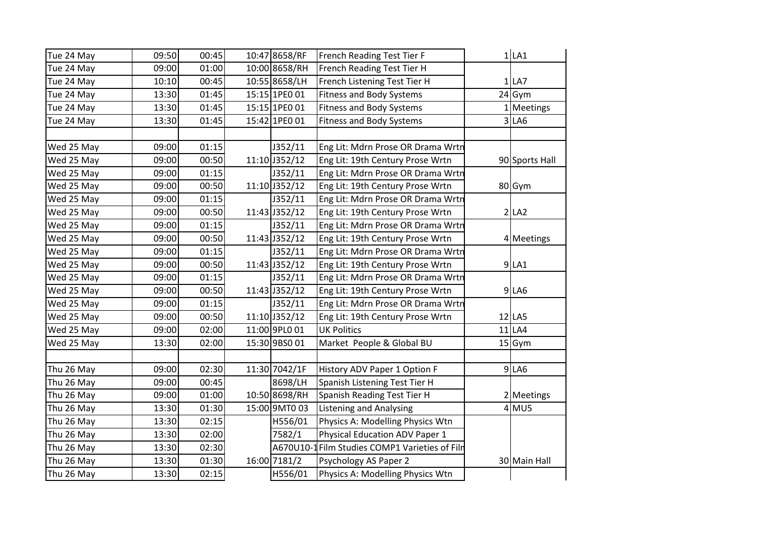| Tue 24 May | 09:50 | 00:45 | 10:47 8658/RF | French Reading Test Tier F                     | $1$ LA1        |
|------------|-------|-------|---------------|------------------------------------------------|----------------|
| Tue 24 May | 09:00 | 01:00 | 10:00 8658/RH | French Reading Test Tier H                     |                |
| Tue 24 May | 10:10 | 00:45 | 10:55 8658/LH | French Listening Test Tier H                   | 1 LA7          |
| Tue 24 May | 13:30 | 01:45 | 15:15 1PE0 01 | <b>Fitness and Body Systems</b>                | 24 Gym         |
| Tue 24 May | 13:30 | 01:45 | 15:15 1PE0 01 | <b>Fitness and Body Systems</b>                | 1 Meetings     |
| Tue 24 May | 13:30 | 01:45 | 15:42 1PE0 01 | <b>Fitness and Body Systems</b>                | 3 LA6          |
|            |       |       |               |                                                |                |
| Wed 25 May | 09:00 | 01:15 | J352/11       | Eng Lit: Mdrn Prose OR Drama Wrtn              |                |
| Wed 25 May | 09:00 | 00:50 | 11:10 J352/12 | Eng Lit: 19th Century Prose Wrtn               | 90 Sports Hall |
| Wed 25 May | 09:00 | 01:15 | J352/11       | Eng Lit: Mdrn Prose OR Drama Wrtn              |                |
| Wed 25 May | 09:00 | 00:50 | 11:10 J352/12 | Eng Lit: 19th Century Prose Wrtn               | 80 Gym         |
| Wed 25 May | 09:00 | 01:15 | J352/11       | Eng Lit: Mdrn Prose OR Drama Wrtn              |                |
| Wed 25 May | 09:00 | 00:50 | 11:43 J352/12 | Eng Lit: 19th Century Prose Wrtn               | 2 LA2          |
| Wed 25 May | 09:00 | 01:15 | J352/11       | Eng Lit: Mdrn Prose OR Drama Wrtn              |                |
| Wed 25 May | 09:00 | 00:50 | 11:43 J352/12 | Eng Lit: 19th Century Prose Wrtn               | 4 Meetings     |
| Wed 25 May | 09:00 | 01:15 | J352/11       | Eng Lit: Mdrn Prose OR Drama Wrtn              |                |
| Wed 25 May | 09:00 | 00:50 | 11:43 J352/12 | Eng Lit: 19th Century Prose Wrtn               | 9 LA1          |
| Wed 25 May | 09:00 | 01:15 | J352/11       | Eng Lit: Mdrn Prose OR Drama Wrtn              |                |
| Wed 25 May | 09:00 | 00:50 | 11:43 J352/12 | Eng Lit: 19th Century Prose Wrtn               | 9 LA6          |
| Wed 25 May | 09:00 | 01:15 | J352/11       | Eng Lit: Mdrn Prose OR Drama Wrtn              |                |
| Wed 25 May | 09:00 | 00:50 | 11:10 J352/12 | Eng Lit: 19th Century Prose Wrtn               | $12$ LA5       |
| Wed 25 May | 09:00 | 02:00 | 11:00 9PL0 01 | <b>UK Politics</b>                             | $11$ LA4       |
| Wed 25 May | 13:30 | 02:00 | 15:30 9BS0 01 | Market People & Global BU                      | $15$ Gym       |
|            |       |       |               |                                                |                |
| Thu 26 May | 09:00 | 02:30 | 11:30 7042/1F | History ADV Paper 1 Option F                   | 9 LA6          |
| Thu 26 May | 09:00 | 00:45 | 8698/LH       | Spanish Listening Test Tier H                  |                |
| Thu 26 May | 09:00 | 01:00 | 10:50 8698/RH | Spanish Reading Test Tier H                    | 2 Meetings     |
| Thu 26 May | 13:30 | 01:30 | 15:00 9MT0 03 | <b>Listening and Analysing</b>                 | $4$ MU5        |
| Thu 26 May | 13:30 | 02:15 | H556/01       | Physics A: Modelling Physics Wtn               |                |
| Thu 26 May | 13:30 | 02:00 | 7582/1        | Physical Education ADV Paper 1                 |                |
| Thu 26 May | 13:30 | 02:30 |               | A670U10-1 Film Studies COMP1 Varieties of Filr |                |
| Thu 26 May | 13:30 | 01:30 | 16:00 7181/2  | Psychology AS Paper 2                          | 30 Main Hall   |
| Thu 26 May | 13:30 | 02:15 | H556/01       | Physics A: Modelling Physics Wtn               |                |
|            |       |       |               |                                                |                |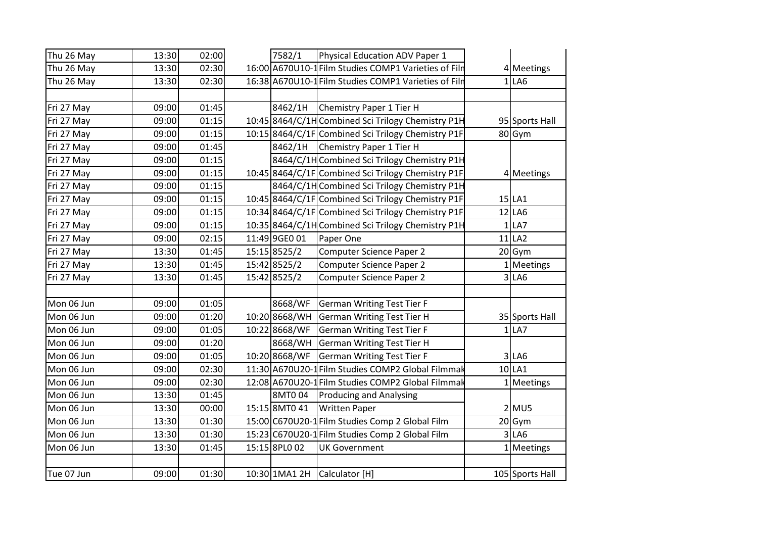| Thu 26 May | 13:30 | 02:00 | 7582/1        | <b>Physical Education ADV Paper 1</b>                |                 |
|------------|-------|-------|---------------|------------------------------------------------------|-----------------|
| Thu 26 May | 13:30 | 02:30 |               | 16:00 A670U10-1 Film Studies COMP1 Varieties of Film | 4 Meetings      |
| Thu 26 May | 13:30 | 02:30 |               | 16:38 A670U10-1 Film Studies COMP1 Varieties of Film | 1 LA6           |
|            |       |       |               |                                                      |                 |
| Fri 27 May | 09:00 | 01:45 | 8462/1H       | Chemistry Paper 1 Tier H                             |                 |
| Fri 27 May | 09:00 | 01:15 |               | 10:45 8464/C/1H Combined Sci Trilogy Chemistry P1H   | 95 Sports Hall  |
| Fri 27 May | 09:00 | 01:15 |               | 10:15 8464/C/1F Combined Sci Trilogy Chemistry P1F   | 80 Gym          |
| Fri 27 May | 09:00 | 01:45 |               | 8462/1H Chemistry Paper 1 Tier H                     |                 |
| Fri 27 May | 09:00 | 01:15 |               | 8464/C/1H Combined Sci Trilogy Chemistry P1H         |                 |
| Fri 27 May | 09:00 | 01:15 |               | 10:45 8464/C/1F Combined Sci Trilogy Chemistry P1F   | 4 Meetings      |
| Fri 27 May | 09:00 | 01:15 |               | 8464/C/1H Combined Sci Trilogy Chemistry P1H         |                 |
| Fri 27 May | 09:00 | 01:15 |               | 10:45 8464/C/1F Combined Sci Trilogy Chemistry P1F   | 15 LA1          |
| Fri 27 May | 09:00 | 01:15 |               | 10:34 8464/C/1F Combined Sci Trilogy Chemistry P1F   | $12$ LA6        |
| Fri 27 May | 09:00 | 01:15 |               | 10:35 8464/C/1H Combined Sci Trilogy Chemistry P1H   | 1 LA7           |
| Fri 27 May | 09:00 | 02:15 | 11:49 9GE0 01 | Paper One                                            | $11$ LA2        |
| Fri 27 May | 13:30 | 01:45 | 15:15 8525/2  | <b>Computer Science Paper 2</b>                      | $20$ Gym        |
| Fri 27 May | 13:30 | 01:45 | 15:42 8525/2  | <b>Computer Science Paper 2</b>                      | 1 Meetings      |
| Fri 27 May | 13:30 | 01:45 | 15:42 8525/2  | <b>Computer Science Paper 2</b>                      | 3 LA6           |
|            |       |       |               |                                                      |                 |
| Mon 06 Jun | 09:00 | 01:05 | 8668/WF       | <b>German Writing Test Tier F</b>                    |                 |
| Mon 06 Jun | 09:00 | 01:20 | 10:20 8668/WH | <b>German Writing Test Tier H</b>                    | 35 Sports Hall  |
| Mon 06 Jun | 09:00 | 01:05 | 10:22 8668/WF | <b>German Writing Test Tier F</b>                    | 1 LA7           |
| Mon 06 Jun | 09:00 | 01:20 | 8668/WH       | <b>German Writing Test Tier H</b>                    |                 |
| Mon 06 Jun | 09:00 | 01:05 | 10:20 8668/WF | <b>German Writing Test Tier F</b>                    | 3 LA6           |
| Mon 06 Jun | 09:00 | 02:30 |               | 11:30 A670U20-1 Film Studies COMP2 Global Filmmak    | 10 LA1          |
| Mon 06 Jun | 09:00 | 02:30 |               | 12:08 A670U20-1 Film Studies COMP2 Global Filmmak    | 1 Meetings      |
| Mon 06 Jun | 13:30 | 01:45 | 8MT004        | <b>Producing and Analysing</b>                       |                 |
| Mon 06 Jun | 13:30 | 00:00 | 15:15 8MT0 41 | <b>Written Paper</b>                                 | $2$ MU5         |
| Mon 06 Jun | 13:30 | 01:30 |               | 15:00 C670U20-1 Film Studies Comp 2 Global Film      | $20$ Gym        |
| Mon 06 Jun | 13:30 | 01:30 |               | 15:23 C670U20-1 Film Studies Comp 2 Global Film      | 3 LA6           |
| Mon 06 Jun | 13:30 | 01:45 | 15:15 8PL0 02 | <b>UK Government</b>                                 | 1 Meetings      |
|            |       |       |               |                                                      |                 |
| Tue 07 Jun | 09:00 | 01:30 | 10:30 1MA1 2H | Calculator [H]                                       | 105 Sports Hall |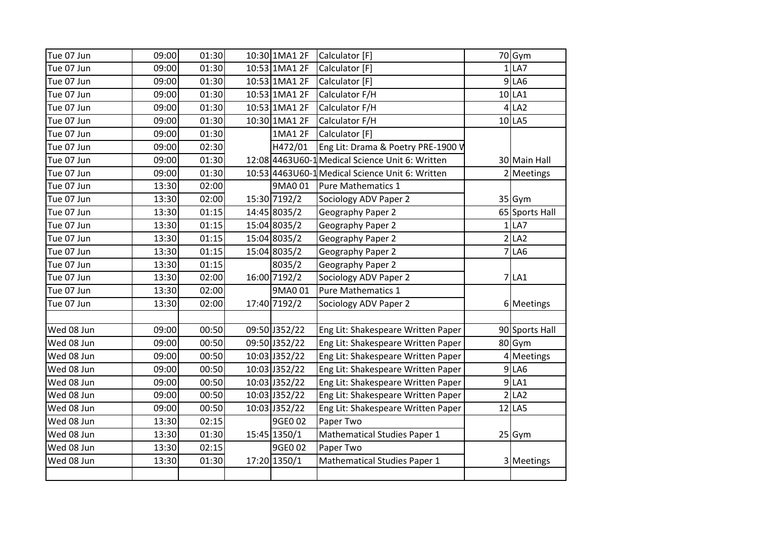| Tue 07 Jun | 09:00 | 01:30 | 10:30 1MA1 2F | Calculator [F]                                   | 70 Gym         |
|------------|-------|-------|---------------|--------------------------------------------------|----------------|
| Tue 07 Jun | 09:00 | 01:30 | 10:53 1MA1 2F | Calculator [F]                                   | $1$ LA7        |
| Tue 07 Jun | 09:00 | 01:30 | 10:53 1MA1 2F | Calculator [F]                                   | $9$ LA6        |
| Tue 07 Jun | 09:00 | 01:30 | 10:53 1MA1 2F | Calculator F/H                                   | 10 LA1         |
| Tue 07 Jun | 09:00 | 01:30 | 10:53 1MA1 2F | Calculator F/H                                   | $4$ LA2        |
| Tue 07 Jun | 09:00 | 01:30 | 10:30 1MA1 2F | Calculator F/H                                   | $10$ LA5       |
| Tue 07 Jun | 09:00 | 01:30 | 1MA1 2F       | Calculator [F]                                   |                |
| Tue 07 Jun | 09:00 | 02:30 | H472/01       | Eng Lit: Drama & Poetry PRE-1900 V               |                |
| Tue 07 Jun | 09:00 | 01:30 |               | 12:08 4463 U60-1 Medical Science Unit 6: Written | 30 Main Hall   |
| Tue 07 Jun | 09:00 | 01:30 |               | 10:53 4463 U60-1 Medical Science Unit 6: Written | 2 Meetings     |
| Tue 07 Jun | 13:30 | 02:00 | 9MA0 01       | Pure Mathematics 1                               |                |
| Tue 07 Jun | 13:30 | 02:00 | 15:30 7192/2  | Sociology ADV Paper 2                            | $35$ Gym       |
| Tue 07 Jun | 13:30 | 01:15 | 14:45 8035/2  | Geography Paper 2                                | 65 Sports Hall |
| Tue 07 Jun | 13:30 | 01:15 | 15:04 8035/2  | Geography Paper 2                                | 1 LA7          |
| Tue 07 Jun | 13:30 | 01:15 | 15:04 8035/2  | Geography Paper 2                                | 2 LA2          |
| Tue 07 Jun | 13:30 | 01:15 | 15:04 8035/2  | Geography Paper 2                                | $7$ LA6        |
| Tue 07 Jun | 13:30 | 01:15 | 8035/2        | Geography Paper 2                                |                |
| Tue 07 Jun | 13:30 | 02:00 | 16:00 7192/2  | Sociology ADV Paper 2                            | $7$ $LA1$      |
| Tue 07 Jun | 13:30 | 02:00 | 9MA0 01       | Pure Mathematics 1                               |                |
| Tue 07 Jun | 13:30 | 02:00 | 17:40 7192/2  | Sociology ADV Paper 2                            | 6 Meetings     |
|            |       |       |               |                                                  |                |
| Wed 08 Jun | 09:00 | 00:50 | 09:50 J352/22 | Eng Lit: Shakespeare Written Paper               | 90 Sports Hall |
| Wed 08 Jun | 09:00 | 00:50 | 09:50 J352/22 | Eng Lit: Shakespeare Written Paper               | 80 Gym         |
| Wed 08 Jun | 09:00 | 00:50 | 10:03 J352/22 | Eng Lit: Shakespeare Written Paper               | 4 Meetings     |
| Wed 08 Jun | 09:00 | 00:50 | 10:03 J352/22 | Eng Lit: Shakespeare Written Paper               | 9 LA6          |
| Wed 08 Jun | 09:00 | 00:50 | 10:03 J352/22 | Eng Lit: Shakespeare Written Paper               | $9$ LA1        |
| Wed 08 Jun | 09:00 | 00:50 | 10:03 J352/22 | Eng Lit: Shakespeare Written Paper               | 2 LA2          |
| Wed 08 Jun | 09:00 | 00:50 | 10:03 J352/22 | Eng Lit: Shakespeare Written Paper               | $12$ LA5       |
| Wed 08 Jun | 13:30 | 02:15 | 9GE0 02       | Paper Two                                        |                |
| Wed 08 Jun | 13:30 | 01:30 | 15:45 1350/1  | Mathematical Studies Paper 1                     | $25$ Gym       |
| Wed 08 Jun | 13:30 | 02:15 | 9GE0 02       | Paper Two                                        |                |
| Wed 08 Jun | 13:30 | 01:30 | 17:20 1350/1  | <b>Mathematical Studies Paper 1</b>              | 3 Meetings     |
|            |       |       |               |                                                  |                |
|            |       |       |               |                                                  |                |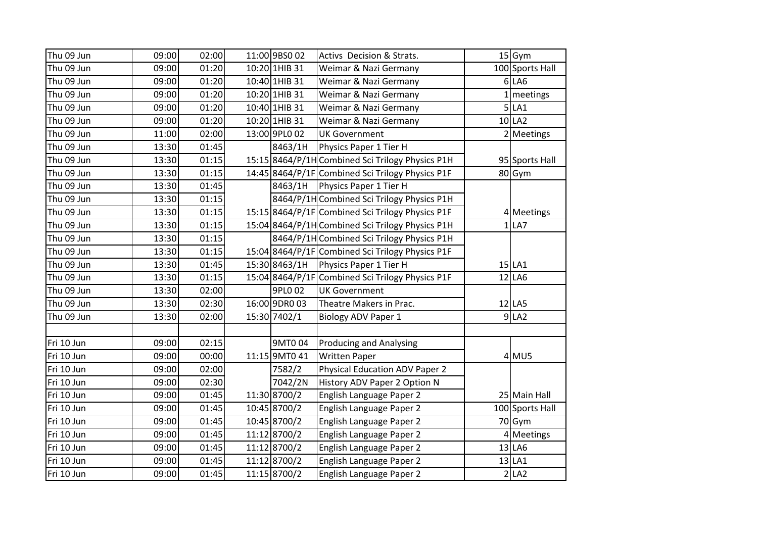| Thu 09 Jun | 09:00 | 02:00 | 11:00 9BS0 02 | Activs Decision & Strats.                        | $15$ Gym        |
|------------|-------|-------|---------------|--------------------------------------------------|-----------------|
| Thu 09 Jun | 09:00 | 01:20 | 10:20 1HIB 31 | Weimar & Nazi Germany                            | 100 Sports Hall |
| Thu 09 Jun | 09:00 | 01:20 | 10:40 1HIB 31 | Weimar & Nazi Germany                            | $6$ LA6         |
| Thu 09 Jun | 09:00 | 01:20 | 10:20 1HIB 31 | Weimar & Nazi Germany                            | 1 meetings      |
| Thu 09 Jun | 09:00 | 01:20 | 10:40 1HIB 31 | Weimar & Nazi Germany                            | 5 LA1           |
| Thu 09 Jun | 09:00 | 01:20 | 10:20 1HIB 31 | Weimar & Nazi Germany                            | 10 LA2          |
| Thu 09 Jun | 11:00 | 02:00 | 13:00 9PL0 02 | <b>UK Government</b>                             | 2 Meetings      |
| Thu 09 Jun | 13:30 | 01:45 | 8463/1H       | Physics Paper 1 Tier H                           |                 |
| Thu 09 Jun | 13:30 | 01:15 |               | 15:15 8464/P/1H Combined Sci Trilogy Physics P1H | 95 Sports Hall  |
| Thu 09 Jun | 13:30 | 01:15 |               | 14:45 8464/P/1F Combined Sci Trilogy Physics P1F | 80 Gym          |
| Thu 09 Jun | 13:30 | 01:45 | 8463/1H       | Physics Paper 1 Tier H                           |                 |
| Thu 09 Jun | 13:30 | 01:15 |               | 8464/P/1H Combined Sci Trilogy Physics P1H       |                 |
| Thu 09 Jun | 13:30 | 01:15 |               | 15:15 8464/P/1F Combined Sci Trilogy Physics P1F | 4 Meetings      |
| Thu 09 Jun | 13:30 | 01:15 |               | 15:04 8464/P/1H Combined Sci Trilogy Physics P1H | $1$ LA7         |
| Thu 09 Jun | 13:30 | 01:15 |               | 8464/P/1H Combined Sci Trilogy Physics P1H       |                 |
| Thu 09 Jun | 13:30 | 01:15 |               | 15:04 8464/P/1F Combined Sci Trilogy Physics P1F |                 |
| Thu 09 Jun | 13:30 | 01:45 | 15:30 8463/1H | Physics Paper 1 Tier H                           | 15 LA1          |
| Thu 09 Jun | 13:30 | 01:15 |               | 15:04 8464/P/1F Combined Sci Trilogy Physics P1F | $12$ LA6        |
| Thu 09 Jun | 13:30 | 02:00 | 9PL0 02       | <b>UK Government</b>                             |                 |
| Thu 09 Jun | 13:30 | 02:30 | 16:00 9DR0 03 | Theatre Makers in Prac.                          | $12$  LA5       |
| Thu 09 Jun | 13:30 | 02:00 | 15:30 7402/1  | <b>Biology ADV Paper 1</b>                       | 9 LA2           |
|            |       |       |               |                                                  |                 |
| Fri 10 Jun | 09:00 | 02:15 | 9MT004        | <b>Producing and Analysing</b>                   |                 |
| Fri 10 Jun | 09:00 | 00:00 | 11:15 9MT0 41 | <b>Written Paper</b>                             | $4$ MU5         |
| Fri 10 Jun | 09:00 | 02:00 | 7582/2        | Physical Education ADV Paper 2                   |                 |
| Fri 10 Jun | 09:00 | 02:30 | 7042/2N       | History ADV Paper 2 Option N                     |                 |
| Fri 10 Jun | 09:00 | 01:45 | 11:30 8700/2  | English Language Paper 2                         | 25 Main Hall    |
| Fri 10 Jun | 09:00 | 01:45 | 10:45 8700/2  | English Language Paper 2                         | 100 Sports Hall |
| Fri 10 Jun | 09:00 | 01:45 | 10:45 8700/2  | English Language Paper 2                         | $70$ Gym        |
| Fri 10 Jun | 09:00 | 01:45 | 11:12 8700/2  | English Language Paper 2                         | 4 Meetings      |
| Fri 10 Jun | 09:00 | 01:45 | 11:12 8700/2  | English Language Paper 2                         | $13$ LA6        |
| Fri 10 Jun | 09:00 | 01:45 | 11:12 8700/2  | English Language Paper 2                         | $13$ LA1        |
| Fri 10 Jun | 09:00 | 01:45 | 11:15 8700/2  | English Language Paper 2                         | 2 LA2           |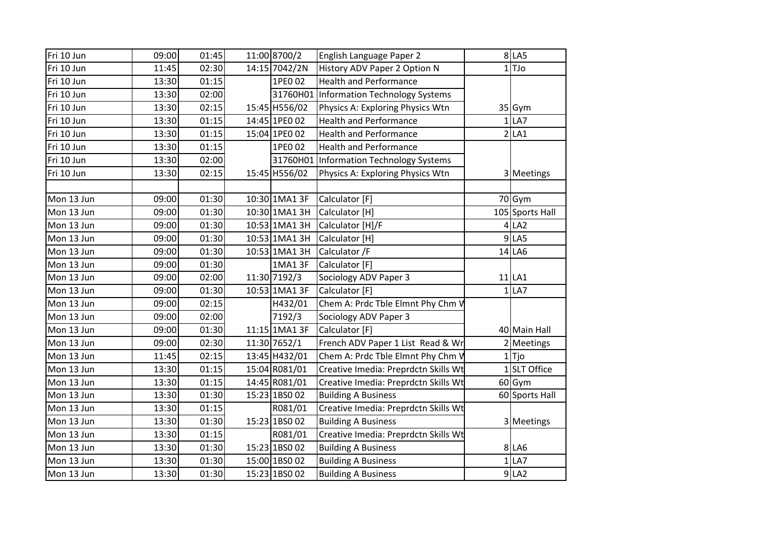| Fri 10 Jun | 09:00 | 01:45 | 11:00 8700/2  | English Language Paper 2                  | 8 LA5           |
|------------|-------|-------|---------------|-------------------------------------------|-----------------|
| Fri 10 Jun | 11:45 | 02:30 | 14:15 7042/2N | History ADV Paper 2 Option N              | $1$ TJo         |
| Fri 10 Jun | 13:30 | 01:15 | 1PE0 02       | <b>Health and Performance</b>             |                 |
| Fri 10 Jun | 13:30 | 02:00 |               | 31760H01 Information Technology Systems   |                 |
| Fri 10 Jun | 13:30 | 02:15 | 15:45 H556/02 | Physics A: Exploring Physics Wtn          | 35 Gym          |
| Fri 10 Jun | 13:30 | 01:15 | 14:45 1PE0 02 | <b>Health and Performance</b>             | 1 LA7           |
| Fri 10 Jun | 13:30 | 01:15 | 15:04 1PE0 02 | <b>Health and Performance</b>             | 2 LA1           |
| Fri 10 Jun | 13:30 | 01:15 | 1PE0 02       | <b>Health and Performance</b>             |                 |
| Fri 10 Jun | 13:30 | 02:00 |               | 31760H01   Information Technology Systems |                 |
| Fri 10 Jun | 13:30 | 02:15 | 15:45 H556/02 | Physics A: Exploring Physics Wtn          | 3 Meetings      |
|            |       |       |               |                                           |                 |
| Mon 13 Jun | 09:00 | 01:30 | 10:30 1MA1 3F | Calculator [F]                            | 70Gym           |
| Mon 13 Jun | 09:00 | 01:30 | 10:30 1MA1 3H | Calculator [H]                            | 105 Sports Hall |
| Mon 13 Jun | 09:00 | 01:30 | 10:53 1MA1 3H | Calculator [H]/F                          | 4 LA2           |
| Mon 13 Jun | 09:00 | 01:30 | 10:53 1MA1 3H | Calculator [H]                            | $9$ LA5         |
| Mon 13 Jun | 09:00 | 01:30 | 10:53 1MA1 3H | Calculator /F                             | $14$ LA6        |
| Mon 13 Jun | 09:00 | 01:30 | 1MA1 3F       | Calculator [F]                            |                 |
| Mon 13 Jun | 09:00 | 02:00 | 11:30 7192/3  | Sociology ADV Paper 3                     | $11$ LA1        |
| Mon 13 Jun | 09:00 | 01:30 | 10:53 1MA1 3F | Calculator [F]                            | $1$ LA7         |
| Mon 13 Jun | 09:00 | 02:15 | H432/01       | Chem A: Prdc Tble Elmnt Phy Chm V         |                 |
| Mon 13 Jun | 09:00 | 02:00 | 7192/3        | Sociology ADV Paper 3                     |                 |
| Mon 13 Jun | 09:00 | 01:30 | 11:15 1MA1 3F | Calculator [F]                            | 40 Main Hall    |
| Mon 13 Jun | 09:00 | 02:30 | 11:30 7652/1  | French ADV Paper 1 List Read & Wr         | 2 Meetings      |
| Mon 13 Jun | 11:45 | 02:15 | 13:45 H432/01 | Chem A: Prdc Tble Elmnt Phy Chm V         | $1$ Tjo         |
| Mon 13 Jun | 13:30 | 01:15 | 15:04 R081/01 | Creative Imedia: Preprdctn Skills Wt      | 1SLT Office     |
| Mon 13 Jun | 13:30 | 01:15 | 14:45 R081/01 | Creative Imedia: Preprdctn Skills Wt      | $60$ Gym        |
| Mon 13 Jun | 13:30 | 01:30 | 15:23 1BS0 02 | <b>Building A Business</b>                | 60 Sports Hall  |
| Mon 13 Jun | 13:30 | 01:15 | R081/01       | Creative Imedia: Preprdctn Skills Wt      |                 |
| Mon 13 Jun | 13:30 | 01:30 | 15:23 1BS0 02 | <b>Building A Business</b>                | 3 Meetings      |
| Mon 13 Jun | 13:30 | 01:15 | R081/01       | Creative Imedia: Preprdctn Skills Wt      |                 |
| Mon 13 Jun | 13:30 | 01:30 | 15:23 1BS0 02 | <b>Building A Business</b>                | 8 LA6           |
| Mon 13 Jun | 13:30 | 01:30 | 15:00 1BS0 02 | <b>Building A Business</b>                | 1 LA7           |
| Mon 13 Jun | 13:30 | 01:30 | 15:23 1BS0 02 | <b>Building A Business</b>                | 9 LA2           |
|            |       |       |               |                                           |                 |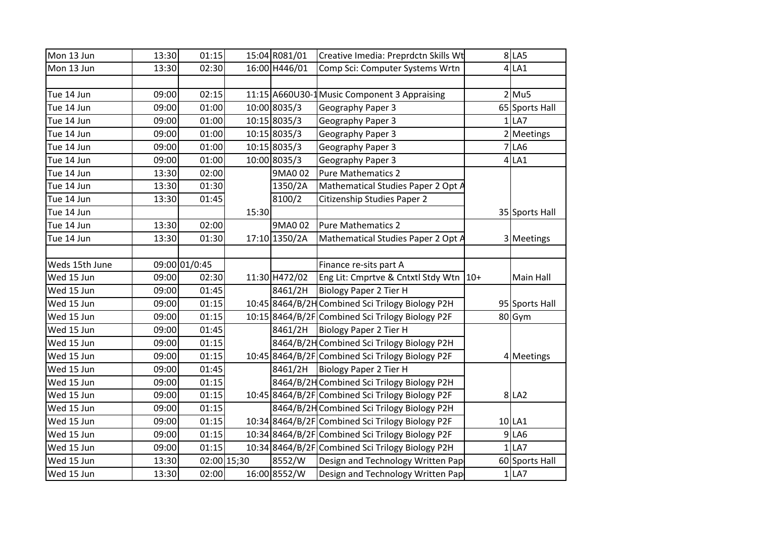| Mon 13 Jun     | 13:30 | 01:15         |             | 15:04 R081/01 | Creative Imedia: Preprdctn Skills Wt             |       | $8$ LA5          |
|----------------|-------|---------------|-------------|---------------|--------------------------------------------------|-------|------------------|
| Mon 13 Jun     | 13:30 | 02:30         |             | 16:00 H446/01 | Comp Sci: Computer Systems Wrtn                  |       | $4$ LA1          |
|                |       |               |             |               |                                                  |       |                  |
| Tue 14 Jun     | 09:00 | 02:15         |             |               | 11:15 A660U30-1 Music Component 3 Appraising     |       | $2$ Mu5          |
| Tue 14 Jun     | 09:00 | 01:00         |             | 10:00 8035/3  | Geography Paper 3                                |       | 65 Sports Hall   |
| Tue 14 Jun     | 09:00 | 01:00         |             | 10:15 8035/3  | Geography Paper 3                                |       | $1$ LA7          |
| Tue 14 Jun     | 09:00 | 01:00         |             | 10:15 8035/3  | Geography Paper 3                                |       | 2 Meetings       |
| Tue 14 Jun     | 09:00 | 01:00         |             | 10:15 8035/3  | Geography Paper 3                                |       | $7$ LA6          |
| Tue 14 Jun     | 09:00 | 01:00         |             | 10:00 8035/3  | Geography Paper 3                                |       | $4$ LA1          |
| Tue 14 Jun     | 13:30 | 02:00         |             | 9MA0 02       | Pure Mathematics 2                               |       |                  |
| Tue 14 Jun     | 13:30 | 01:30         |             | 1350/2A       | Mathematical Studies Paper 2 Opt A               |       |                  |
| Tue 14 Jun     | 13:30 | 01:45         |             | 8100/2        | Citizenship Studies Paper 2                      |       |                  |
| Tue 14 Jun     |       |               | 15:30       |               |                                                  |       | 35 Sports Hall   |
| Tue 14 Jun     | 13:30 | 02:00         |             | 9MA0 02       | Pure Mathematics 2                               |       |                  |
| Tue 14 Jun     | 13:30 | 01:30         |             | 17:10 1350/2A | Mathematical Studies Paper 2 Opt A               |       | 3 Meetings       |
|                |       |               |             |               |                                                  |       |                  |
| Weds 15th June |       | 09:00 01/0:45 |             |               | Finance re-sits part A                           |       |                  |
| Wed 15 Jun     | 09:00 | 02:30         |             | 11:30 H472/02 | Eng Lit: Cmprtve & Cntxtl Stdy Wtn               | $10+$ | <b>Main Hall</b> |
| Wed 15 Jun     | 09:00 | 01:45         |             | 8461/2H       | Biology Paper 2 Tier H                           |       |                  |
| Wed 15 Jun     | 09:00 | 01:15         |             |               | 10:45 8464/B/2H Combined Sci Trilogy Biology P2H |       | 95 Sports Hall   |
| Wed 15 Jun     | 09:00 | 01:15         |             |               | 10:15 8464/B/2F Combined Sci Trilogy Biology P2F |       | 80 Gym           |
| Wed 15 Jun     | 09:00 | 01:45         |             | 8461/2H       | Biology Paper 2 Tier H                           |       |                  |
| Wed 15 Jun     | 09:00 | 01:15         |             |               | 8464/B/2H Combined Sci Trilogy Biology P2H       |       |                  |
| Wed 15 Jun     | 09:00 | 01:15         |             |               | 10:45 8464/B/2F Combined Sci Trilogy Biology P2F |       | 4 Meetings       |
| Wed 15 Jun     | 09:00 | 01:45         |             | 8461/2H       | Biology Paper 2 Tier H                           |       |                  |
| Wed 15 Jun     | 09:00 | 01:15         |             |               | 8464/B/2H Combined Sci Trilogy Biology P2H       |       |                  |
| Wed 15 Jun     | 09:00 | 01:15         |             |               | 10:45 8464/B/2F Combined Sci Trilogy Biology P2F |       | 8 LA2            |
| Wed 15 Jun     | 09:00 | 01:15         |             |               | 8464/B/2H Combined Sci Trilogy Biology P2H       |       |                  |
| Wed 15 Jun     | 09:00 | 01:15         |             |               | 10:34 8464/B/2F Combined Sci Trilogy Biology P2F |       | $10$ LA1         |
| Wed 15 Jun     | 09:00 | 01:15         |             |               | 10:34 8464/B/2F Combined Sci Trilogy Biology P2F |       | 9 LA6            |
| Wed 15 Jun     | 09:00 | 01:15         |             |               | 10:34 8464/B/2F Combined Sci Trilogy Biology P2H |       | 1 LA7            |
| Wed 15 Jun     | 13:30 |               | 02:00 15;30 | 8552/W        | Design and Technology Written Pap                |       | 60 Sports Hall   |
| Wed 15 Jun     | 13:30 | 02:00         |             | 16:00 8552/W  | Design and Technology Written Pap                |       | 1 LA7            |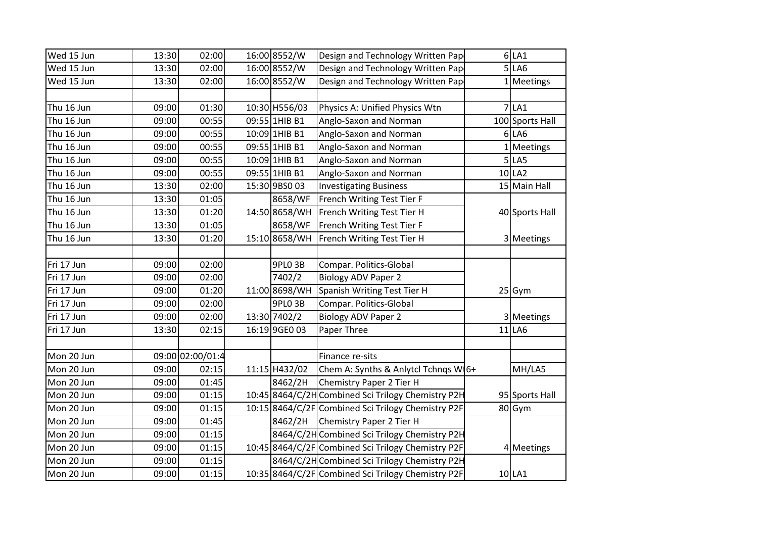| Wed 15 Jun | 13:30 | 02:00            | 16:00 8552/W  | Design and Technology Written Pap                  | 6 LA1           |
|------------|-------|------------------|---------------|----------------------------------------------------|-----------------|
| Wed 15 Jun | 13:30 | 02:00            | 16:00 8552/W  | Design and Technology Written Pap                  | 5 LA6           |
| Wed 15 Jun | 13:30 | 02:00            | 16:00 8552/W  | Design and Technology Written Pap                  | 1 Meetings      |
|            |       |                  |               |                                                    |                 |
| Thu 16 Jun | 09:00 | 01:30            | 10:30 H556/03 | Physics A: Unified Physics Wtn                     | 7 LA1           |
| Thu 16 Jun | 09:00 | 00:55            | 09:55 1HIB B1 | Anglo-Saxon and Norman                             | 100 Sports Hall |
| Thu 16 Jun | 09:00 | 00:55            | 10:09 1HIB B1 | Anglo-Saxon and Norman                             | 6 LA6           |
| Thu 16 Jun | 09:00 | 00:55            | 09:55 1HIB B1 | Anglo-Saxon and Norman                             | 1 Meetings      |
| Thu 16 Jun | 09:00 | 00:55            | 10:09 1HIB B1 | Anglo-Saxon and Norman                             | 5 LA5           |
| Thu 16 Jun | 09:00 | 00:55            | 09:55 1HIB B1 | Anglo-Saxon and Norman                             | 10 LA2          |
| Thu 16 Jun | 13:30 | 02:00            | 15:30 9BS0 03 | <b>Investigating Business</b>                      | 15 Main Hall    |
| Thu 16 Jun | 13:30 | 01:05            | 8658/WF       | French Writing Test Tier F                         |                 |
| Thu 16 Jun | 13:30 | 01:20            | 14:50 8658/WH | French Writing Test Tier H                         | 40 Sports Hall  |
| Thu 16 Jun | 13:30 | 01:05            | 8658/WF       | French Writing Test Tier F                         |                 |
| Thu 16 Jun | 13:30 | 01:20            | 15:10 8658/WH | French Writing Test Tier H                         | 3 Meetings      |
|            |       |                  |               |                                                    |                 |
| Fri 17 Jun | 09:00 | 02:00            | 9PLO 3B       | Compar. Politics-Global                            |                 |
| Fri 17 Jun | 09:00 | 02:00            | 7402/2        | <b>Biology ADV Paper 2</b>                         |                 |
| Fri 17 Jun | 09:00 | 01:20            | 11:00 8698/WH | Spanish Writing Test Tier H                        | $25$ Gym        |
| Fri 17 Jun | 09:00 | 02:00            | 9PLO 3B       | Compar. Politics-Global                            |                 |
| Fri 17 Jun | 09:00 | 02:00            | 13:30 7402/2  | <b>Biology ADV Paper 2</b>                         | 3 Meetings      |
| Fri 17 Jun | 13:30 | 02:15            | 16:19 9GE0 03 | Paper Three                                        | $11$ LA6        |
|            |       |                  |               |                                                    |                 |
| Mon 20 Jun |       | 09:00 02:00/01:4 |               | Finance re-sits                                    |                 |
| Mon 20 Jun | 09:00 | 02:15            | 11:15 H432/02 | Chem A: Synths & Anlytcl Tchnqs W16+               | MH/LA5          |
| Mon 20 Jun | 09:00 | 01:45            | 8462/2H       | Chemistry Paper 2 Tier H                           |                 |
| Mon 20 Jun | 09:00 | 01:15            |               | 10:45 8464/C/2H Combined Sci Trilogy Chemistry P2H | 95 Sports Hall  |
| Mon 20 Jun | 09:00 | 01:15            |               | 10:15 8464/C/2F Combined Sci Trilogy Chemistry P2F | 80 Gym          |
| Mon 20 Jun | 09:00 | 01:45            | 8462/2H       | Chemistry Paper 2 Tier H                           |                 |
| Mon 20 Jun | 09:00 | 01:15            |               | 8464/C/2H Combined Sci Trilogy Chemistry P2H       |                 |
| Mon 20 Jun | 09:00 | 01:15            |               | 10:45 8464/C/2F Combined Sci Trilogy Chemistry P2F | 4 Meetings      |
| Mon 20 Jun | 09:00 | 01:15            |               | 8464/C/2H Combined Sci Trilogy Chemistry P2H       |                 |
| Mon 20 Jun | 09:00 | 01:15            |               | 10:35 8464/C/2F Combined Sci Trilogy Chemistry P2F | 10 LA1          |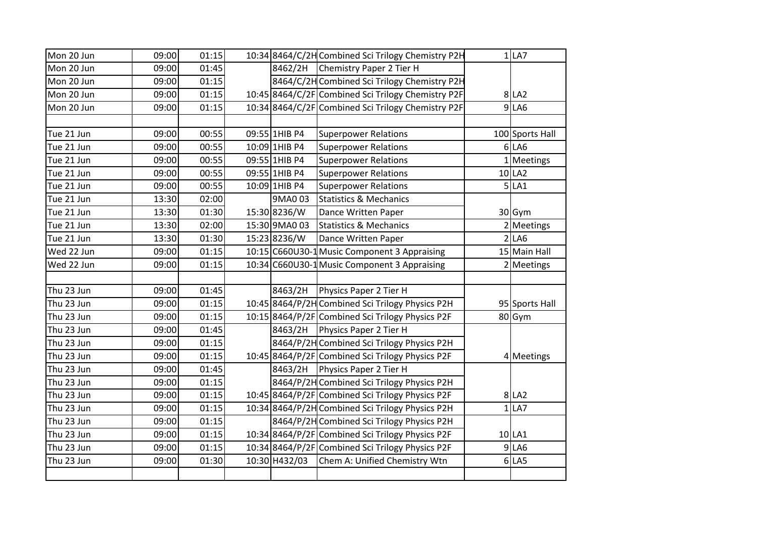| Mon 20 Jun | 09:00 | 01:15 |               | 10:34 8464/C/2H Combined Sci Trilogy Chemistry P2H | 1 LA7           |
|------------|-------|-------|---------------|----------------------------------------------------|-----------------|
| Mon 20 Jun | 09:00 | 01:45 |               | 8462/2H Chemistry Paper 2 Tier H                   |                 |
| Mon 20 Jun | 09:00 | 01:15 |               | 8464/C/2H Combined Sci Trilogy Chemistry P2H       |                 |
| Mon 20 Jun | 09:00 | 01:15 |               | 10:45 8464/C/2F Combined Sci Trilogy Chemistry P2F | 8 LA2           |
| Mon 20 Jun | 09:00 | 01:15 |               | 10:34 8464/C/2F Combined Sci Trilogy Chemistry P2F | 9 LA6           |
|            |       |       |               |                                                    |                 |
| Tue 21 Jun | 09:00 | 00:55 | 09:55 1HIB P4 | <b>Superpower Relations</b>                        | 100 Sports Hall |
| Tue 21 Jun | 09:00 | 00:55 | 10:09 1HIB P4 | <b>Superpower Relations</b>                        | $6$ LA6         |
| Tue 21 Jun | 09:00 | 00:55 | 09:55 1HIB P4 | <b>Superpower Relations</b>                        | 1 Meetings      |
| Tue 21 Jun | 09:00 | 00:55 | 09:55 1HIB P4 | <b>Superpower Relations</b>                        | 10 LA2          |
| Tue 21 Jun | 09:00 | 00:55 | 10:09 1HIB P4 | <b>Superpower Relations</b>                        | 5 LA1           |
| Tue 21 Jun | 13:30 | 02:00 | 9MA003        | <b>Statistics &amp; Mechanics</b>                  |                 |
| Tue 21 Jun | 13:30 | 01:30 | 15:30 8236/W  | Dance Written Paper                                | $30$ Gym        |
| Tue 21 Jun | 13:30 | 02:00 | 15:30 9MA0 03 | <b>Statistics &amp; Mechanics</b>                  | 2 Meetings      |
| Tue 21 Jun | 13:30 | 01:30 | 15:23 8236/W  | Dance Written Paper                                | 2 LA6           |
| Wed 22 Jun | 09:00 | 01:15 |               | 10:15 C660U30-1 Music Component 3 Appraising       | 15 Main Hall    |
| Wed 22 Jun | 09:00 | 01:15 |               | 10:34 C660U30-1 Music Component 3 Appraising       | 2 Meetings      |
|            |       |       |               |                                                    |                 |
| Thu 23 Jun | 09:00 | 01:45 | 8463/2H       | Physics Paper 2 Tier H                             |                 |
| Thu 23 Jun | 09:00 | 01:15 |               | 10:45 8464/P/2H Combined Sci Trilogy Physics P2H   | 95 Sports Hall  |
| Thu 23 Jun | 09:00 | 01:15 |               | 10:15 8464/P/2F Combined Sci Trilogy Physics P2F   | 80 Gym          |
| Thu 23 Jun | 09:00 | 01:45 |               | 8463/2H Physics Paper 2 Tier H                     |                 |
| Thu 23 Jun | 09:00 | 01:15 |               | 8464/P/2H Combined Sci Trilogy Physics P2H         |                 |
| Thu 23 Jun | 09:00 | 01:15 |               | 10:45 8464/P/2F Combined Sci Trilogy Physics P2F   | 4 Meetings      |
| Thu 23 Jun | 09:00 | 01:45 |               | 8463/2H   Physics Paper 2 Tier H                   |                 |
| Thu 23 Jun | 09:00 | 01:15 |               | 8464/P/2H Combined Sci Trilogy Physics P2H         |                 |
| Thu 23 Jun | 09:00 | 01:15 |               | 10:45 8464/P/2F Combined Sci Trilogy Physics P2F   | 8 LA2           |
| Thu 23 Jun | 09:00 | 01:15 |               | 10:34 8464/P/2H Combined Sci Trilogy Physics P2H   | 1 LA7           |
| Thu 23 Jun | 09:00 | 01:15 |               | 8464/P/2H Combined Sci Trilogy Physics P2H         |                 |
| Thu 23 Jun | 09:00 | 01:15 |               | 10:34 8464/P/2F Combined Sci Trilogy Physics P2F   | $10$ LA1        |
| Thu 23 Jun | 09:00 | 01:15 |               | 10:34 8464/P/2F Combined Sci Trilogy Physics P2F   | 9 LA6           |
| Thu 23 Jun | 09:00 | 01:30 | 10:30 H432/03 | Chem A: Unified Chemistry Wtn                      | 6 LA5           |
|            |       |       |               |                                                    |                 |
|            |       |       |               |                                                    |                 |